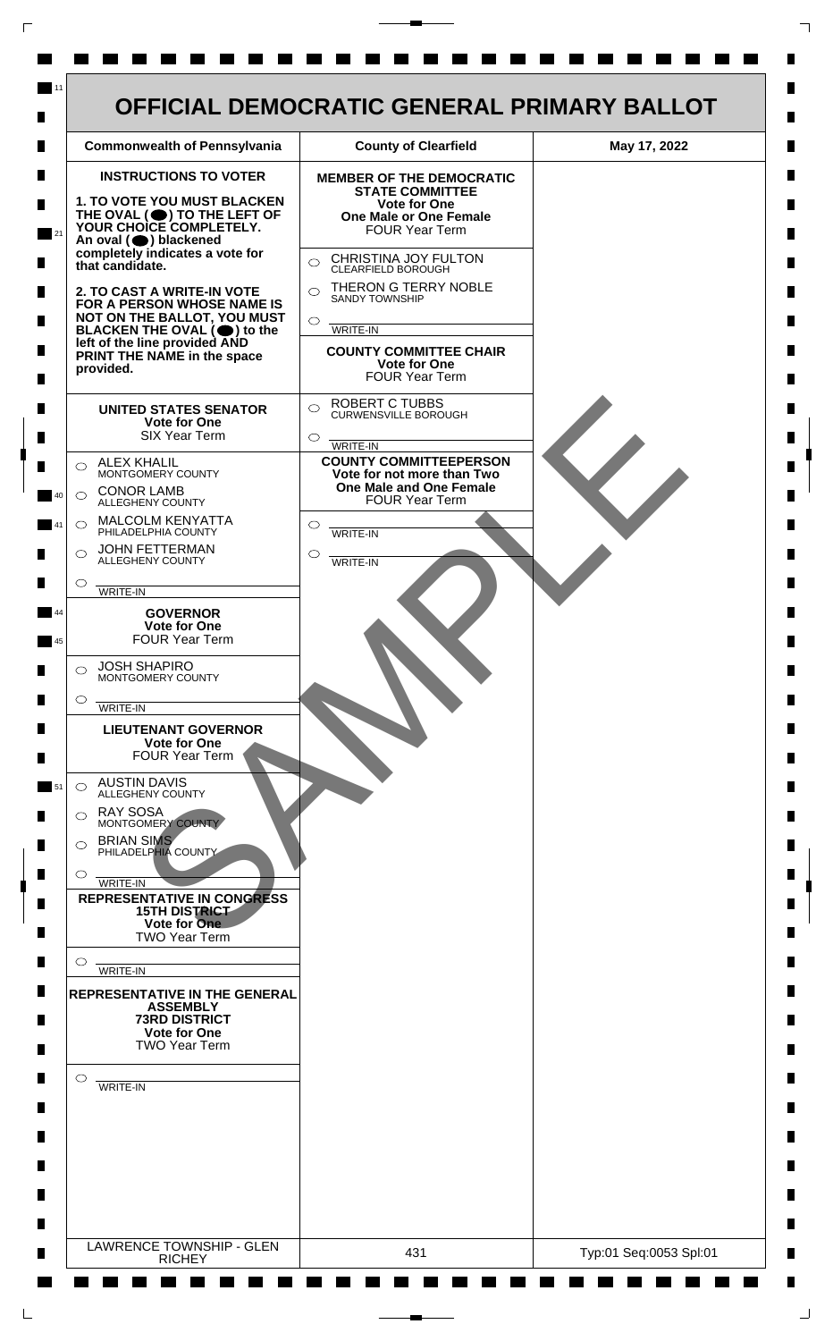

 $\mathsf{L}$